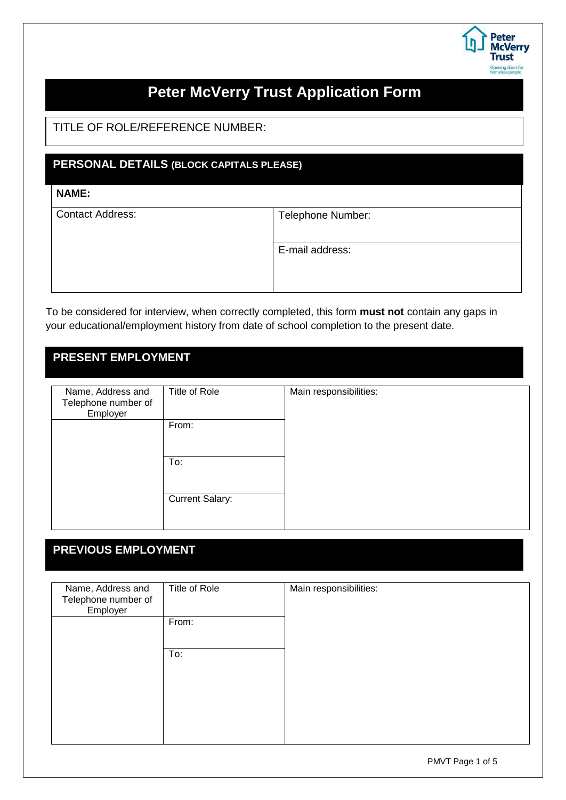

# **Peter McVerry Trust Application Form**

TITLE OF ROLE/REFERENCE NUMBER:

#### **PERSONAL DETAILS (BLOCK CAPITALS PLEASE)**

#### Surname: **NAME:**

| <b>Contact Address:</b> | Telephone Number: |
|-------------------------|-------------------|
|                         |                   |
|                         |                   |
|                         | E-mail address:   |
|                         |                   |
|                         |                   |
|                         |                   |
|                         |                   |

To be considered for interview, when correctly completed, this form **must not** contain any gaps in your educational/employment history from date of school completion to the present date.

#### **PRESENT EMPLOYMENT**

| Name, Address and<br>Telephone number of<br>Employer | Title of Role          | Main responsibilities: |
|------------------------------------------------------|------------------------|------------------------|
|                                                      | From:                  |                        |
|                                                      | To:                    |                        |
|                                                      | <b>Current Salary:</b> |                        |

### **PREVIOUS EMPLOYMENT**

| Name, Address and<br>Telephone number of<br>Employer | Title of Role | Main responsibilities: |
|------------------------------------------------------|---------------|------------------------|
|                                                      | From:         |                        |
|                                                      | To:           |                        |
|                                                      |               |                        |
|                                                      |               |                        |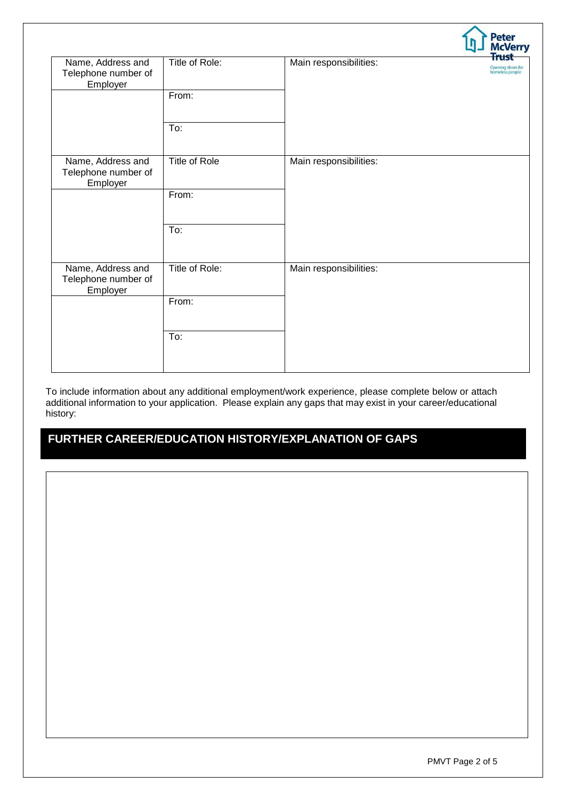|                                                      |                |                        | Peter<br>McVerry                                     |
|------------------------------------------------------|----------------|------------------------|------------------------------------------------------|
| Name, Address and<br>Telephone number of<br>Employer | Title of Role: | Main responsibilities: | <b>Frust</b><br>Opening doors for<br>homeless people |
|                                                      | From:          |                        |                                                      |
|                                                      | To:            |                        |                                                      |
| Name, Address and<br>Telephone number of<br>Employer | Title of Role  | Main responsibilities: |                                                      |
|                                                      | From:          |                        |                                                      |
|                                                      | To:            |                        |                                                      |
| Name, Address and<br>Telephone number of<br>Employer | Title of Role: | Main responsibilities: |                                                      |
|                                                      | From:          |                        |                                                      |
|                                                      | To:            |                        |                                                      |
|                                                      |                |                        |                                                      |

To include information about any additional employment/work experience, please complete below or attach additional information to your application. Please explain any gaps that may exist in your career/educational history:

### **FURTHER CAREER/EDUCATION HISTORY/EXPLANATION OF GAPS**

 $\sim$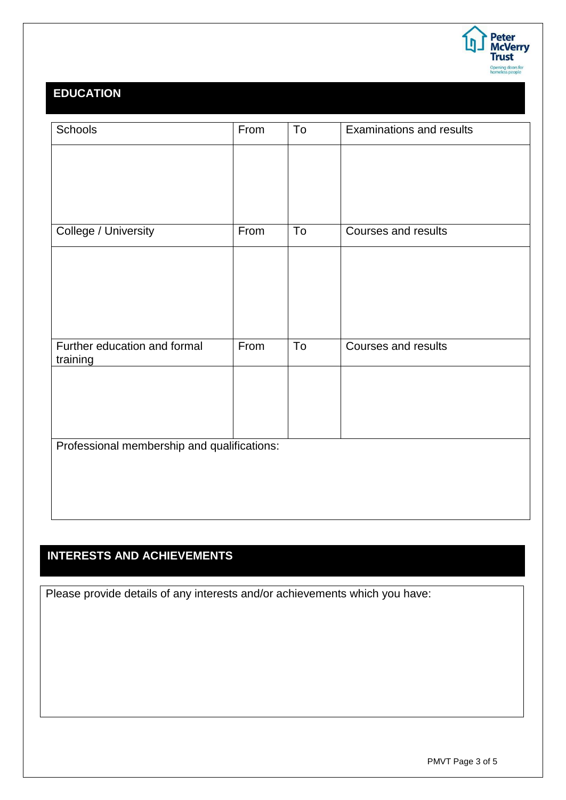

### **EDUCATION**

| Schools                                     | From | To | <b>Examinations and results</b> |
|---------------------------------------------|------|----|---------------------------------|
|                                             |      |    |                                 |
|                                             |      |    |                                 |
|                                             |      |    |                                 |
|                                             |      |    |                                 |
| College / University                        | From | To | Courses and results             |
|                                             |      |    |                                 |
|                                             |      |    |                                 |
|                                             |      |    |                                 |
|                                             |      |    |                                 |
| Further education and formal                | From | To | Courses and results             |
| training                                    |      |    |                                 |
|                                             |      |    |                                 |
|                                             |      |    |                                 |
|                                             |      |    |                                 |
| Professional membership and qualifications: |      |    |                                 |
|                                             |      |    |                                 |
|                                             |      |    |                                 |
|                                             |      |    |                                 |
|                                             |      |    |                                 |

### **INTERESTS AND ACHIEVEMENTS**

Please provide details of any interests and/or achievements which you have: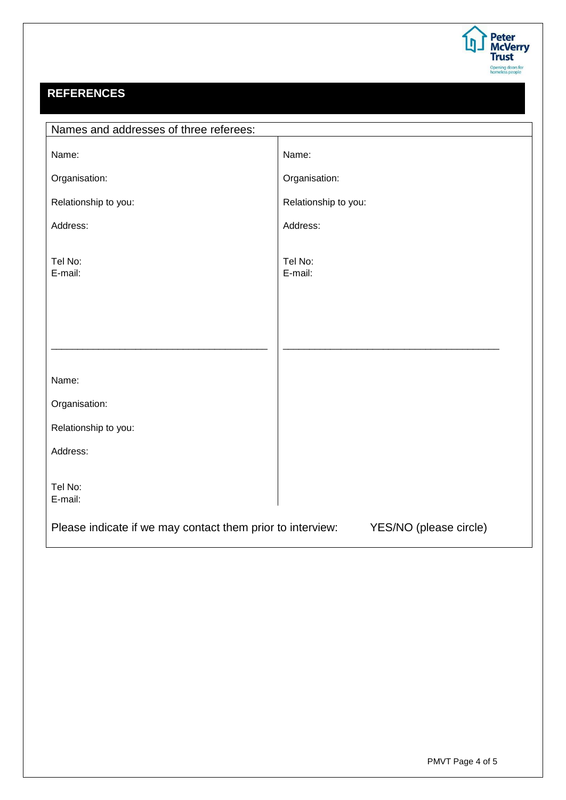

## **REFERENCES**

| Names and addresses of three referees:                                               |                      |  |
|--------------------------------------------------------------------------------------|----------------------|--|
| Name:                                                                                | Name:                |  |
| Organisation:                                                                        | Organisation:        |  |
| Relationship to you:                                                                 | Relationship to you: |  |
| Address:                                                                             | Address:             |  |
| Tel No:<br>E-mail:                                                                   | Tel No:<br>E-mail:   |  |
|                                                                                      |                      |  |
|                                                                                      |                      |  |
|                                                                                      |                      |  |
| Name:                                                                                |                      |  |
| Organisation:                                                                        |                      |  |
| Relationship to you:                                                                 |                      |  |
| Address:                                                                             |                      |  |
| Tel No:<br>E-mail:                                                                   |                      |  |
| Please indicate if we may contact them prior to interview:<br>YES/NO (please circle) |                      |  |